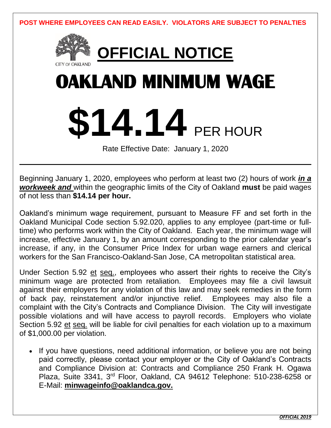**POST WHERE EMPLOYEES CAN READ EASILY. VIOLATORS ARE SUBJECT TO PENALTIES**



Beginning January 1, 2020, employees who perform at least two (2) hours of work *in a workweek and* within the geographic limits of the City of Oakland **must** be paid wages of not less than **\$14.14 per hour.** 

Oakland's minimum wage requirement, pursuant to Measure FF and set forth in the Oakland Municipal Code section 5.92.020, applies to any employee (part-time or fulltime) who performs work within the City of Oakland. Each year, the minimum wage will increase, effective January 1, by an amount corresponding to the prior calendar year's increase, if any, in the Consumer Price Index for urban wage earners and clerical workers for the San Francisco-Oakland-San Jose, CA metropolitan statistical area.

Under Section 5.92 et seq., employees who assert their rights to receive the City's minimum wage are protected from retaliation. Employees may file a civil lawsuit against their employers for any violation of this law and may seek remedies in the form of back pay, reinstatement and/or injunctive relief. Employees may also file a complaint with the City's Contracts and Compliance Division. The City will investigate possible violations and will have access to payroll records. Employers who violate Section 5.92 et seq. will be liable for civil penalties for each violation up to a maximum of \$1,000.00 per violation.

• If you have questions, need additional information, or believe you are not being paid correctly, please contact your employer or the City of Oakland's Contracts and Compliance Division at: Contracts and Compliance 250 Frank H. Ogawa Plaza, Suite 3341, 3rd Floor, Oakland, CA 94612 Telephone: 510-238-6258 or E-Mail: **minwageinfo@oaklandca.gov.**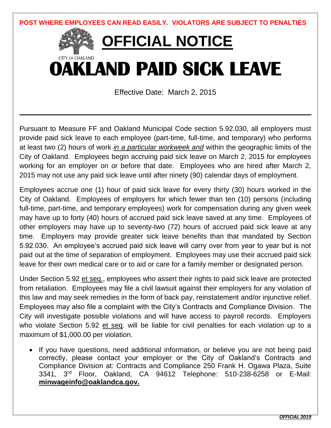

Pursuant to Measure FF and Oakland Municipal Code section 5.92.030, all employers must provide paid sick leave to each employee (part-time, full-time, and temporary) who performs at least two (2) hours of work *in a particular workweek and* within the geographic limits of the City of Oakland. Employees begin accruing paid sick leave on March 2, 2015 for employees working for an employer on or before that date. Employees who are hired after March 2, 2015 may not use any paid sick leave until after ninety (90) calendar days of employment.

Employees accrue one (1) hour of paid sick leave for every thirty (30) hours worked in the City of Oakland. Employees of employers for which fewer than ten (10) persons (including full-time, part-time, and temporary employees) work for compensation during any given week may have up to forty (40) hours of accrued paid sick leave saved at any time. Employees of other employers may have up to seventy-two (72) hours of accrued paid sick leave at any time. Employers may provide greater sick leave benefits than that mandated by Section 5.92.030. An employee's accrued paid sick leave will carry over from year to year but is not paid out at the time of separation of employment. Employees may use their accrued paid sick leave for their own medical care or to aid or care for a family member or designated person.

Under Section 5.92 et seq., employees who assert their rights to paid sick leave are protected from retaliation. Employees may file a civil lawsuit against their employers for any violation of this law and may seek remedies in the form of back pay, reinstatement and/or injunctive relief. Employees may also file a complaint with the City's Contracts and Compliance Division. The City will investigate possible violations and will have access to payroll records. Employers who violate Section 5.92 et seq. will be liable for civil penalties for each violation up to a maximum of \$1,000.00 per violation.

• If you have questions, need additional information, or believe you are not being paid correctly, please contact your employer or the City of Oakland's Contracts and Compliance Division at: Contracts and Compliance 250 Frank H. Ogawa Plaza, Suite 3341, 3rd Floor, Oakland, CA 94612 Telephone: 510-238-6258 or E-Mail: **minwageinfo@oaklandca.gov.**